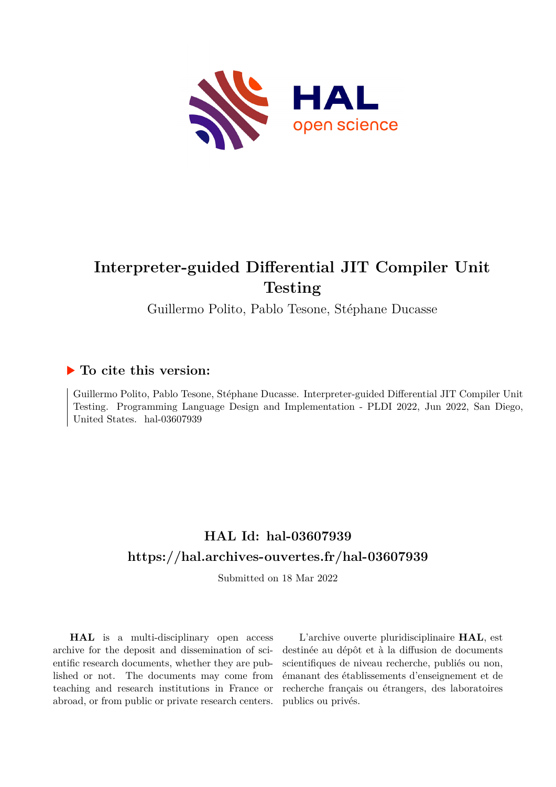

# **Interpreter-guided Differential JIT Compiler Unit Testing**

Guillermo Polito, Pablo Tesone, Stéphane Ducasse

# **To cite this version:**

Guillermo Polito, Pablo Tesone, Stéphane Ducasse. Interpreter-guided Differential JIT Compiler Unit Testing. Programming Language Design and Implementation - PLDI 2022, Jun 2022, San Diego, United States. hal-03607939

# **HAL Id: hal-03607939 <https://hal.archives-ouvertes.fr/hal-03607939>**

Submitted on 18 Mar 2022

**HAL** is a multi-disciplinary open access archive for the deposit and dissemination of scientific research documents, whether they are published or not. The documents may come from teaching and research institutions in France or abroad, or from public or private research centers.

L'archive ouverte pluridisciplinaire **HAL**, est destinée au dépôt et à la diffusion de documents scientifiques de niveau recherche, publiés ou non, émanant des établissements d'enseignement et de recherche français ou étrangers, des laboratoires publics ou privés.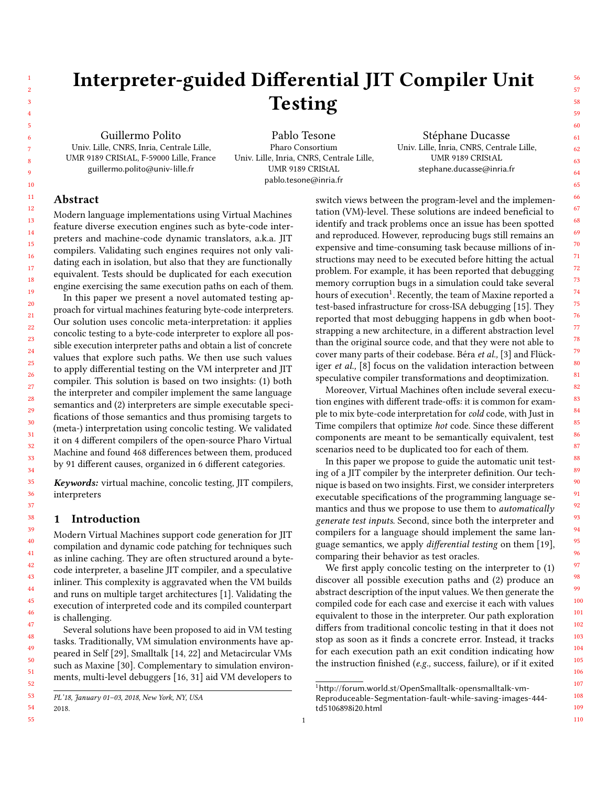# Interpreter-guided Differential JIT Compiler Unit Testing

Guillermo Polito Univ. Lille, CNRS, Inria, Centrale Lille, UMR 9189 CRIStAL, F-59000 Lille, France guillermo.polito@univ-lille.fr

Pablo Tesone Pharo Consortium Univ. Lille, Inria, CNRS, Centrale Lille, UMR 9189 CRIStAL pablo.tesone@inria.fr

Stéphane Ducasse Univ. Lille, Inria, CNRS, Centrale Lille, UMR 9189 CRIStAL stephane.ducasse@inria.fr

# Abstract

> Modern language implementations using Virtual Machines feature diverse execution engines such as byte-code interpreters and machine-code dynamic translators, a.k.a. JIT compilers. Validating such engines requires not only validating each in isolation, but also that they are functionally equivalent. Tests should be duplicated for each execution engine exercising the same execution paths on each of them.

> In this paper we present a novel automated testing approach for virtual machines featuring byte-code interpreters. Our solution uses concolic meta-interpretation: it applies concolic testing to a byte-code interpreter to explore all possible execution interpreter paths and obtain a list of concrete values that explore such paths. We then use such values to apply differential testing on the VM interpreter and JIT compiler. This solution is based on two insights: (1) both the interpreter and compiler implement the same language semantics and (2) interpreters are simple executable specifications of those semantics and thus promising targets to (meta-) interpretation using concolic testing. We validated it on 4 different compilers of the open-source Pharo Virtual Machine and found 468 differences between them, produced by 91 different causes, organized in 6 different categories.

> Keywords: virtual machine, concolic testing, JIT compilers, interpreters

# 1 Introduction

Modern Virtual Machines support code generation for JIT compilation and dynamic code patching for techniques such as inline caching. They are often structured around a bytecode interpreter, a baseline JIT compiler, and a speculative inliner. This complexity is aggravated when the VM builds and runs on multiple target architectures [1]. Validating the execution of interpreted code and its compiled counterpart is challenging.

Several solutions have been proposed to aid in VM testing tasks. Traditionally, VM simulation environments have appeared in Self [29], Smalltalk [14, 22] and Metacircular VMs such as Maxine [30]. Complementary to simulation environments, multi-level debuggers [16, 31] aid VM developers to

54 2018.

55

switch views between the program-level and the implementation (VM)-level. These solutions are indeed beneficial to identify and track problems once an issue has been spotted and reproduced. However, reproducing bugs still remains an expensive and time-consuming task because millions of instructions may need to be executed before hitting the actual problem. For example, it has been reported that debugging memory corruption bugs in a simulation could take several hours of execution $^1$ . Recently, the team of Maxine reported a test-based infrastructure for cross-ISA debugging [15]. They reported that most debugging happens in gdb when bootstrapping a new architecture, in a different abstraction level than the original source code, and that they were not able to cover many parts of their codebase. Béra et al., [3] and Flückiger et al., [8] focus on the validation interaction between speculative compiler transformations and deoptimization.

Moreover, Virtual Machines often include several execution engines with different trade-offs: it is common for example to mix byte-code interpretation for cold code, with Just in Time compilers that optimize hot code. Since these different components are meant to be semantically equivalent, test scenarios need to be duplicated too for each of them.

In this paper we propose to guide the automatic unit testing of a JIT compiler by the interpreter definition. Our technique is based on two insights. First, we consider interpreters executable specifications of the programming language semantics and thus we propose to use them to *automatically* generate test inputs. Second, since both the interpreter and compilers for a language should implement the same language semantics, we apply *differential testing* on them [19], comparing their behavior as test oracles.

We first apply concolic testing on the interpreter to (1) discover all possible execution paths and (2) produce an abstract description of the input values. We then generate the compiled code for each case and exercise it each with values equivalent to those in the interpreter. Our path exploration differs from traditional concolic testing in that it does not stop as soon as it finds a concrete error. Instead, it tracks for each execution path an exit condition indicating how the instruction finished (e.g., success, failure), or if it exited

PL'18, January 01–03, 2018, New York, NY, USA

<sup>1</sup>[http://forum.world.st/OpenSmalltalk-opensmalltalk-vm-](http://forum.world.st/OpenSmalltalk-opensmalltalk-vm-Reproduceable-Segmentation-fault-while-saving-images-444-td5106898i20.html)[Reproduceable-Segmentation-fault-while-saving-images-444-](http://forum.world.st/OpenSmalltalk-opensmalltalk-vm-Reproduceable-Segmentation-fault-while-saving-images-444-td5106898i20.html)

[td5106898i20.html](http://forum.world.st/OpenSmalltalk-opensmalltalk-vm-Reproduceable-Segmentation-fault-while-saving-images-444-td5106898i20.html)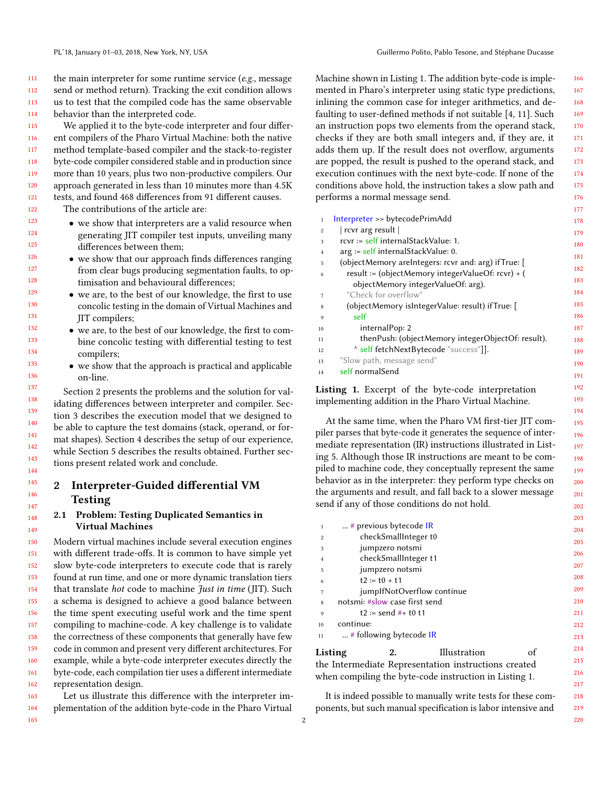the main interpreter for some runtime service (e.g., message send or method return). Tracking the exit condition allows us to test that the compiled code has the same observable behavior than the interpreted code.

 We applied it to the byte-code interpreter and four different compilers of the Pharo Virtual Machine: both the native method template-based compiler and the stack-to-register byte-code compiler considered stable and in production since more than 10 years, plus two non-productive compilers. Our approach generated in less than 10 minutes more than 4.5K tests, and found 468 differences from 91 different causes.

 The contributions of the article are:

- we show that interpreters are a valid resource when generating JIT compiler test inputs, unveiling many differences between them;
	- we show that our approach finds differences ranging from clear bugs producing segmentation faults, to optimisation and behavioural differences;
	- we are, to the best of our knowledge, the first to use concolic testing in the domain of Virtual Machines and JIT compilers;
	- we are, to the best of our knowledge, the first to combine concolic testing with differential testing to test compilers;
	- we show that the approach is practical and applicable on-line.

Section 2 presents the problems and the solution for validating differences between interpreter and compiler. Section 3 describes the execution model that we designed to be able to capture the test domains (stack, operand, or format shapes). Section 4 describes the setup of our experience, while Section 5 describes the results obtained. Further sections present related work and conclude.

# 2 Interpreter-Guided differential VM Testing

#### 2.1 Problem: Testing Duplicated Semantics in Virtual Machines

 Modern virtual machines include several execution engines with different trade-offs. It is common to have simple yet slow byte-code interpreters to execute code that is rarely found at run time, and one or more dynamic translation tiers that translate *hot* code to machine *Just in time* (JIT). Such a schema is designed to achieve a good balance between the time spent executing useful work and the time spent compiling to machine-code. A key challenge is to validate the correctness of these components that generally have few code in common and present very different architectures. For example, while a byte-code interpreter executes directly the byte-code, each compilation tier uses a different intermediate representation design.

 Let us illustrate this difference with the interpreter implementation of the addition byte-code in the Pharo Virtual

Machine shown in Listing 1. The addition byte-code is implemented in Pharo's interpreter using static type predictions, inlining the common case for integer arithmetics, and defaulting to user-defined methods if not suitable [4, 11]. Such an instruction pops two elements from the operand stack, checks if they are both small integers and, if they are, it adds them up. If the result does not overflow, arguments are popped, the result is pushed to the operand stack, and execution continues with the next byte-code. If none of the conditions above hold, the instruction takes a slow path and performs a normal message send.

| $\mathbf{1}$   | Interpreter >> bytecodePrimAdd                       | 178 |
|----------------|------------------------------------------------------|-----|
| $\overline{c}$ | rcvr arg result                                      | 179 |
| 3              | rcyr := self internalStackValue: 1.                  | 180 |
| $\overline{4}$ | $arg := self$ internalStackValue: 0.                 |     |
| 5              | (objectMemory areIntegers: rcvr and: arg) if True: [ | 181 |
| 6              | result := (objectMemory integerValueOf: rcvr) + (    | 182 |
|                | objectMemory integerValueOf: arg).                   | 183 |
| 7              | "Check for overflow"                                 | 184 |
| 8              | (objectMemory isIntegerValue: result) ifTrue: [      | 185 |
| 9              | self                                                 | 186 |
| 10             | internalPop: 2                                       | 187 |
| 11             | thenPush: (objectMemory integerObjectOf: result).    | 188 |
| 12             | A self fetchNextBytecode "success"]].                | 189 |
| 13             | "Slow path, message send"                            | 190 |
| 14             | self normalSend                                      | 191 |
|                |                                                      |     |

Listing 1. Excerpt of the byte-code interpretation implementing addition in the Pharo Virtual Machine.

At the same time, when the Pharo VM first-tier JIT compiler parses that byte-code it generates the sequence of intermediate representation (IR) instructions illustrated in Listing 5. Although those IR instructions are meant to be compiled to machine code, they conceptually represent the same behavior as in the interpreter: they perform type checks on the arguments and result, and fall back to a slower message send if any of those conditions do not hold.

| $\mathbf{1}$                                         | # previous bytecode IR                                 |              |     | 204 |
|------------------------------------------------------|--------------------------------------------------------|--------------|-----|-----|
| $\boldsymbol{2}$                                     | checkSmallInteger t0                                   |              |     | 205 |
| 3                                                    | jumpzero notsmi                                        |              |     |     |
| $\overline{4}$                                       | checkSmallInteger t1                                   |              |     | 206 |
| 5                                                    | jumpzero notsmi                                        |              |     | 207 |
| 6                                                    | $t2 := t0 + t1$                                        |              |     | 208 |
| 7                                                    | jumplfNotOverflow continue                             |              |     | 209 |
| 8                                                    | notsmi: #slow case first send                          |              |     | 210 |
| $\mathbf{Q}$                                         | $t2 := send #+ t0 t1$                                  |              |     | 211 |
| 10                                                   | continue:                                              |              |     | 212 |
| 11                                                   | # following bytecode IR                                |              |     | 213 |
| Listing                                              | 2.                                                     | Illustration | οf  | 214 |
|                                                      |                                                        |              |     | 215 |
| the Intermediate Representation instructions created |                                                        |              | 216 |     |
|                                                      | when compiling the byte-code instruction in Listing 1. |              |     |     |
|                                                      |                                                        |              |     |     |

It is indeed possible to manually write tests for these components, but such manual specification is labor intensive and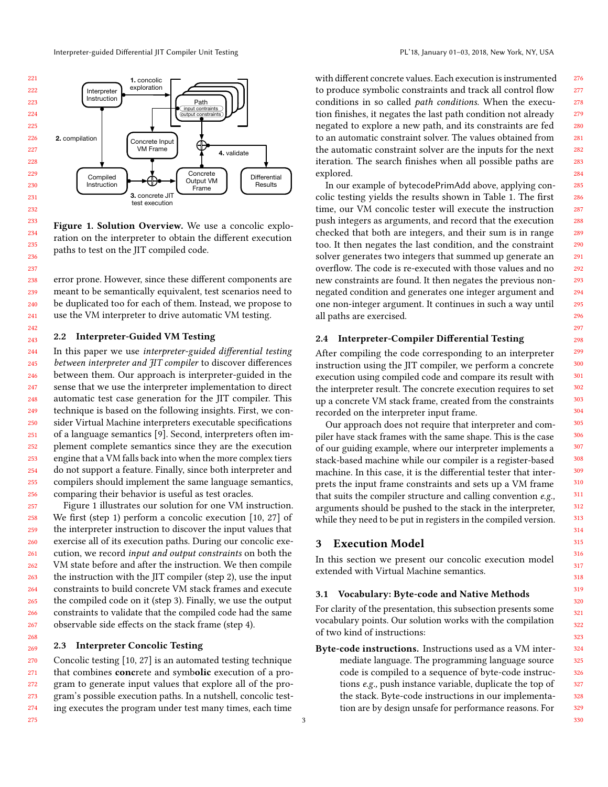

Figure 1. Solution Overview. We use a concolic exploration on the interpreter to obtain the different execution paths to test on the JIT compiled code.

error prone. However, since these different components are meant to be semantically equivalent, test scenarios need to be duplicated too for each of them. Instead, we propose to use the VM interpreter to drive automatic VM testing.

#### 2.2 Interpreter-Guided VM Testing

268 269

244 245 246 247 248 249 250 251 252 253 254 255 256 In this paper we use interpreter-guided differential testing between interpreter and JIT compiler to discover differences between them. Our approach is interpreter-guided in the sense that we use the interpreter implementation to direct automatic test case generation for the JIT compiler. This technique is based on the following insights. First, we consider Virtual Machine interpreters executable specifications of a language semantics [9]. Second, interpreters often implement complete semantics since they are the execution engine that a VM falls back into when the more complex tiers do not support a feature. Finally, since both interpreter and compilers should implement the same language semantics, comparing their behavior is useful as test oracles.

257 258 259 260 261 262 263 264 265 266 267 Figure 1 illustrates our solution for one VM instruction. We first (step 1) perform a concolic execution [10, 27] of the interpreter instruction to discover the input values that exercise all of its execution paths. During our concolic execution, we record input and output constraints on both the VM state before and after the instruction. We then compile the instruction with the JIT compiler (step 2), use the input constraints to build concrete VM stack frames and execute the compiled code on it (step 3). Finally, we use the output constraints to validate that the compiled code had the same observable side effects on the stack frame (step 4).

#### 2.3 Interpreter Concolic Testing

270 271 272 273 274 275 Concolic testing [10, 27] is an automated testing technique that combines concrete and symbolic execution of a program to generate input values that explore all of the program's possible execution paths. In a nutshell, concolic testing executes the program under test many times, each time

with different concrete values. Each execution is instrumented to produce symbolic constraints and track all control flow conditions in so called path conditions. When the execution finishes, it negates the last path condition not already negated to explore a new path, and its constraints are fed to an automatic constraint solver. The values obtained from the automatic constraint solver are the inputs for the next iteration. The search finishes when all possible paths are explored.

In our example of bytecodePrimAdd above, applying concolic testing yields the results shown in Table 1. The first time, our VM concolic tester will execute the instruction push integers as arguments, and record that the execution checked that both are integers, and their sum is in range too. It then negates the last condition, and the constraint solver generates two integers that summed up generate an overflow. The code is re-executed with those values and no new constraints are found. It then negates the previous nonnegated condition and generates one integer argument and one non-integer argument. It continues in such a way until all paths are exercised.

# 2.4 Interpreter-Compiler Differential Testing

After compiling the code corresponding to an interpreter instruction using the JIT compiler, we perform a concrete execution using compiled code and compare its result with the interpreter result. The concrete execution requires to set up a concrete VM stack frame, created from the constraints recorded on the interpreter input frame.

Our approach does not require that interpreter and compiler have stack frames with the same shape. This is the case of our guiding example, where our interpreter implements a stack-based machine while our compiler is a register-based machine. In this case, it is the differential tester that interprets the input frame constraints and sets up a VM frame that suits the compiler structure and calling convention e.g., arguments should be pushed to the stack in the interpreter, while they need to be put in registers in the compiled version.

# 3 Execution Model

3

In this section we present our concolic execution model extended with Virtual Machine semantics.

#### 3.1 Vocabulary: Byte-code and Native Methods

For clarity of the presentation, this subsection presents some vocabulary points. Our solution works with the compilation of two kind of instructions:

Byte-code instructions. Instructions used as a VM intermediate language. The programming language source code is compiled to a sequence of byte-code instructions e.g., push instance variable, duplicate the top of the stack. Byte-code instructions in our implementation are by design unsafe for performance reasons. For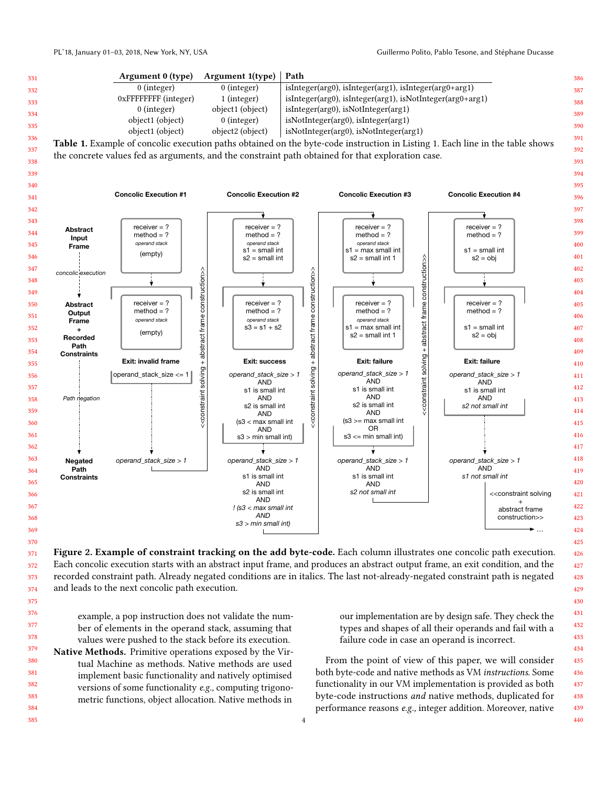

Figure 2. Example of constraint tracking on the add byte-code. Each column illustrates one concolic path execution. Each concolic execution starts with an abstract input frame, and produces an abstract output frame, an exit condition, and the recorded constraint path. Already negated conditions are in italics. The last not-already-negated constraint path is negated and leads to the next concolic path execution.

example, a pop instruction does not validate the number of elements in the operand stack, assuming that values were pushed to the stack before its execution.

379 380 381 382 383 384 Native Methods. Primitive operations exposed by the Virtual Machine as methods. Native methods are used implement basic functionality and natively optimised versions of some functionality e.g., computing trigonometric functions, object allocation. Native methods in

our implementation are by design safe. They check the types and shapes of all their operands and fail with a failure code in case an operand is incorrect.

From the point of view of this paper, we will consider both byte-code and native methods as VM instructions. Some functionality in our VM implementation is provided as both byte-code instructions and native methods, duplicated for performance reasons e.g., integer addition. Moreover, native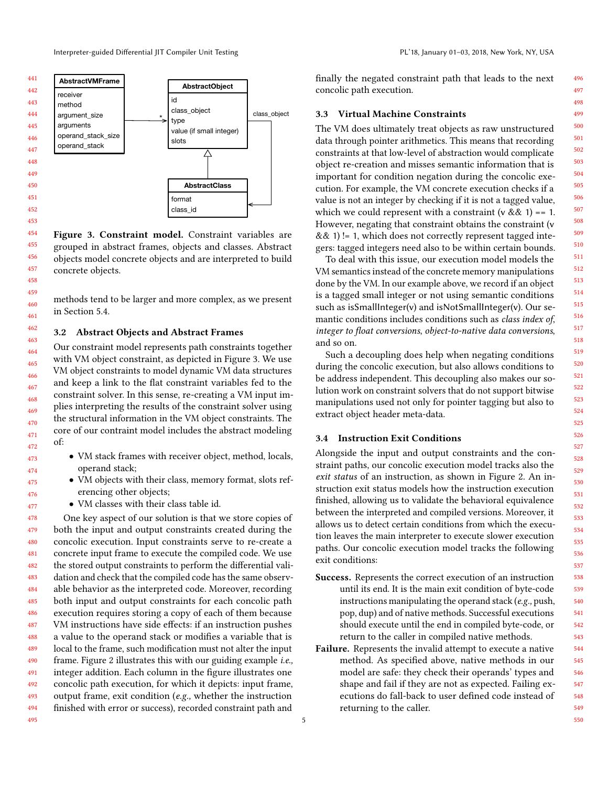



Figure 3. Constraint model. Constraint variables are grouped in abstract frames, objects and classes. Abstract objects model concrete objects and are interpreted to build concrete objects.

methods tend to be larger and more complex, as we present in Section 5.4.

#### 3.2 Abstract Objects and Abstract Frames

Our constraint model represents path constraints together with VM object constraint, as depicted in Figure 3. We use VM object constraints to model dynamic VM data structures and keep a link to the flat constraint variables fed to the constraint solver. In this sense, re-creating a VM input implies interpreting the results of the constraint solver using the structural information in the VM object constraints. The core of our contraint model includes the abstract modeling of:

- VM stack frames with receiver object, method, locals, operand stack;
- VM objects with their class, memory format, slots referencing other objects;
- VM classes with their class table id.

478 479 480 481 482 483 484 485 486 487 488 489 490 491 492 493 494 495 One key aspect of our solution is that we store copies of both the input and output constraints created during the concolic execution. Input constraints serve to re-create a concrete input frame to execute the compiled code. We use the stored output constraints to perform the differential validation and check that the compiled code has the same observable behavior as the interpreted code. Moreover, recording both input and output constraints for each concolic path execution requires storing a copy of each of them because VM instructions have side effects: if an instruction pushes a value to the operand stack or modifies a variable that is local to the frame, such modification must not alter the input frame. Figure 2 illustrates this with our guiding example i.e., integer addition. Each column in the figure illustrates one concolic path execution, for which it depicts: input frame, output frame, exit condition (e.g., whether the instruction finished with error or success), recorded constraint path and

finally the negated constraint path that leads to the next concolic path execution.

# 3.3 Virtual Machine Constraints

The VM does ultimately treat objects as raw unstructured data through pointer arithmetics. This means that recording constraints at that low-level of abstraction would complicate object re-creation and misses semantic information that is important for condition negation during the concolic execution. For example, the VM concrete execution checks if a value is not an integer by checking if it is not a tagged value, which we could represent with a constraint  $(v & 8 & 1) == 1$ . However, negating that constraint obtains the constraint (v  $& 8 (1) != 1$ , which does not correctly represent tagged integers: tagged integers need also to be within certain bounds.

To deal with this issue, our execution model models the VM semantics instead of the concrete memory manipulations done by the VM. In our example above, we record if an object is a tagged small integer or not using semantic conditions such as isSmallInteger(v) and isNotSmallInteger(v). Our semantic conditions includes conditions such as class index of, integer to float conversions, object-to-native data conversions, and so on.

Such a decoupling does help when negating conditions during the concolic execution, but also allows conditions to be address independent. This decoupling also makes our solution work on constraint solvers that do not support bitwise manipulations used not only for pointer tagging but also to extract object header meta-data.

#### 3.4 Instruction Exit Conditions

Alongside the input and output constraints and the constraint paths, our concolic execution model tracks also the exit status of an instruction, as shown in Figure 2. An instruction exit status models how the instruction execution finished, allowing us to validate the behavioral equivalence between the interpreted and compiled versions. Moreover, it allows us to detect certain conditions from which the execution leaves the main interpreter to execute slower execution paths. Our concolic execution model tracks the following exit conditions:

- Success. Represents the correct execution of an instruction until its end. It is the main exit condition of byte-code instructions manipulating the operand stack (e.g., push, pop, dup) and of native methods. Successful executions should execute until the end in compiled byte-code, or return to the caller in compiled native methods.
- Failure. Represents the invalid attempt to execute a native method. As specified above, native methods in our model are safe: they check their operands' types and shape and fail if they are not as expected. Failing executions do fall-back to user defined code instead of returning to the caller.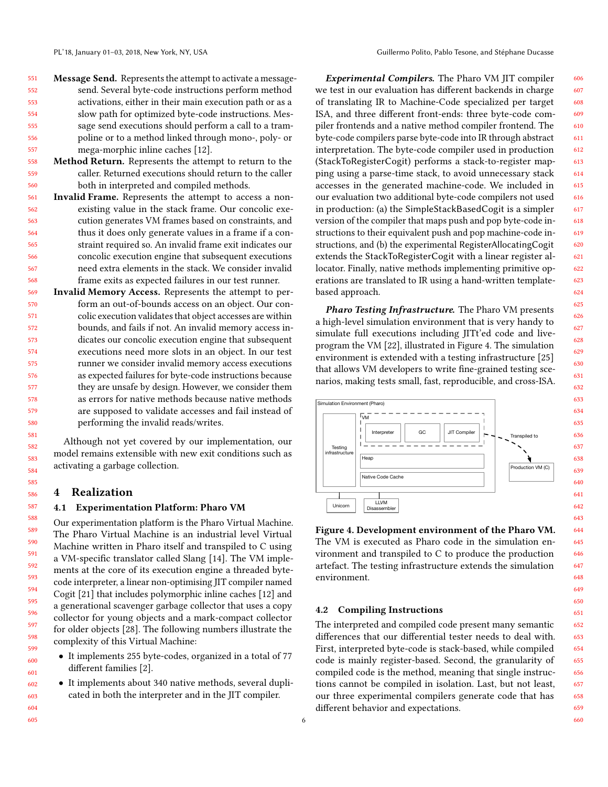- 551 552 553 554 555 556 557 Message Send. Represents the attempt to activate a messagesend. Several byte-code instructions perform method activations, either in their main execution path or as a slow path for optimized byte-code instructions. Message send executions should perform a call to a trampoline or to a method linked through mono-, poly- or mega-morphic inline caches [12].
- 558 559 560 Method Return. Represents the attempt to return to the caller. Returned executions should return to the caller both in interpreted and compiled methods.
- 561 562 563 564 565 566 567 568 Invalid Frame. Represents the attempt to access a nonexisting value in the stack frame. Our concolic execution generates VM frames based on constraints, and thus it does only generate values in a frame if a constraint required so. An invalid frame exit indicates our concolic execution engine that subsequent executions need extra elements in the stack. We consider invalid frame exits as expected failures in our test runner.
- 569 570 571 572 573 574 575 576 577 578 579 580 Invalid Memory Access. Represents the attempt to perform an out-of-bounds access on an object. Our concolic execution validates that object accesses are within bounds, and fails if not. An invalid memory access indicates our concolic execution engine that subsequent executions need more slots in an object. In our test runner we consider invalid memory access executions as expected failures for byte-code instructions because they are unsafe by design. However, we consider them as errors for native methods because native methods are supposed to validate accesses and fail instead of performing the invalid reads/writes.

Although not yet covered by our implementation, our model remains extensible with new exit conditions such as activating a garbage collection.

#### 4 Realization

#### 4.1 Experimentation Platform: Pharo VM

Our experimentation platform is the Pharo Virtual Machine. The Pharo Virtual Machine is an industrial level Virtual Machine written in Pharo itself and transpiled to C using a VM-specific translator called Slang [14]. The VM implements at the core of its execution engine a threaded bytecode interpreter, a linear non-optimising JIT compiler named Cogit [21] that includes polymorphic inline caches [12] and a generational scavenger garbage collector that uses a copy collector for young objects and a mark-compact collector for older objects [28]. The following numbers illustrate the complexity of this Virtual Machine:

- It implements 255 byte-codes, organized in a total of 77 different families [2].
- It implements about 340 native methods, several duplicated in both the interpreter and in the JIT compiler.

Experimental Compilers. The Pharo VM JIT compiler we test in our evaluation has different backends in charge of translating IR to Machine-Code specialized per target ISA, and three different front-ends: three byte-code compiler frontends and a native method compiler frontend. The byte-code compilers parse byte-code into IR through abstract interpretation. The byte-code compiler used in production (StackToRegisterCogit) performs a stack-to-register mapping using a parse-time stack, to avoid unnecessary stack accesses in the generated machine-code. We included in our evaluation two additional byte-code compilers not used in production: (a) the SimpleStackBasedCogit is a simpler version of the compiler that maps push and pop byte-code instructions to their equivalent push and pop machine-code instructions, and (b) the experimental RegisterAllocatingCogit extends the StackToRegisterCogit with a linear register allocator. Finally, native methods implementing primitive operations are translated to IR using a hand-written templatebased approach.

Pharo Testing Infrastructure. The Pharo VM presents a high-level simulation environment that is very handy to simulate full executions including JITt'ed code and liveprogram the VM [22], illustrated in Figure 4. The simulation environment is extended with a testing infrastructure [25] that allows VM developers to write fine-grained testing scenarios, making tests small, fast, reproducible, and cross-ISA.



Figure 4. Development environment of the Pharo VM. The VM is executed as Pharo code in the simulation environment and transpiled to C to produce the production artefact. The testing infrastructure extends the simulation environment.

#### 4.2 Compiling Instructions

The interpreted and compiled code present many semantic differences that our differential tester needs to deal with. First, interpreted byte-code is stack-based, while compiled code is mainly register-based. Second, the granularity of compiled code is the method, meaning that single instructions cannot be compiled in isolation. Last, but not least, our three experimental compilers generate code that has different behavior and expectations.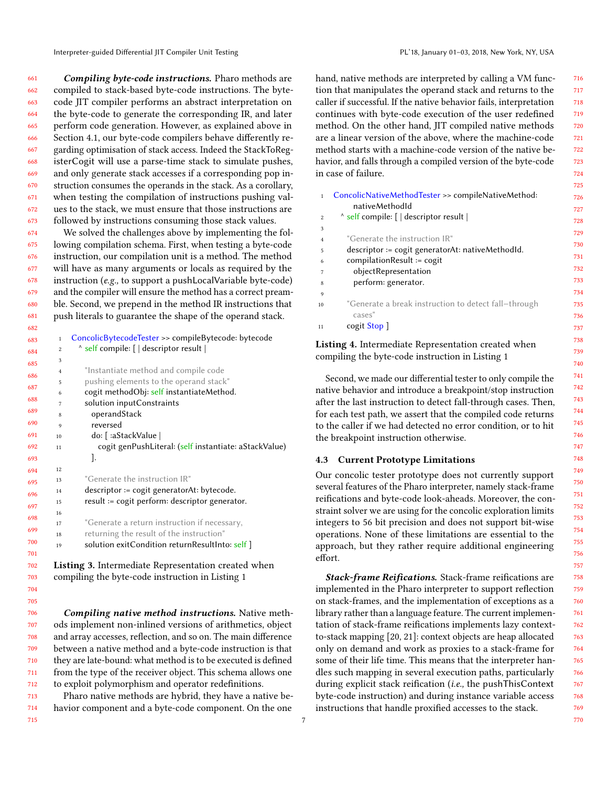Compiling byte-code instructions. Pharo methods are compiled to stack-based byte-code instructions. The bytecode JIT compiler performs an abstract interpretation on the byte-code to generate the corresponding IR, and later perform code generation. However, as explained above in Section 4.1, our byte-code compilers behave differently regarding optimisation of stack access. Indeed the StackToRegisterCogit will use a parse-time stack to simulate pushes, and only generate stack accesses if a corresponding pop instruction consumes the operands in the stack. As a corollary, when testing the compilation of instructions pushing values to the stack, we must ensure that those instructions are followed by instructions consuming those stack values.

 We solved the challenges above by implementing the following compilation schema. First, when testing a byte-code instruction, our compilation unit is a method. The method will have as many arguments or locals as required by the instruction (e.g., to support a pushLocalVariable byte-code) and the compiler will ensure the method has a correct preamble. Second, we prepend in the method IR instructions that push literals to guarantee the shape of the operand stack.

| 683 | $\mathbf{1}$   | ConcolicBytecodeTester >> compileBytecode: bytecode   |
|-----|----------------|-------------------------------------------------------|
| 684 | $\overline{2}$ | A self compile: [   descriptor result                 |
| 685 | 3              |                                                       |
| 686 | $\overline{4}$ | "Instantiate method and compile code                  |
|     | 5              | pushing elements to the operand stack"                |
| 687 | 6              | cogit methodObj: self instantiateMethod.              |
| 688 | 7              | solution inputConstraints                             |
| 689 | 8              | operandStack                                          |
| 690 | 9              | reversed                                              |
| 691 | 10             | do: [ :aStackValue                                    |
| 692 | 11             | cogit genPushLiteral: (self instantiate: aStackValue) |
| 693 |                | J.                                                    |
| 694 | 12             |                                                       |
| 695 | 13             | "Generate the instruction IR"                         |
| 696 | 14             | $descriptor := cogit generatorAt: bytecode.$          |
| 697 | 15             | result := cogit perform: descriptor generator.        |
|     | 16             |                                                       |
| 698 | 17             | "Generate a return instruction if necessary,          |
| 699 | 18             | returning the result of the instruction"              |
| 700 | 19             | solution exitCondition returnResultInto: self ]       |
| 701 |                |                                                       |
|     |                |                                                       |

Listing 3. Intermediate Representation created when compiling the byte-code instruction in Listing 1

Compiling native method instructions. Native methods implement non-inlined versions of arithmetics, object and array accesses, reflection, and so on. The main difference between a native method and a byte-code instruction is that they are late-bound: what method is to be executed is defined from the type of the receiver object. This schema allows one to exploit polymorphism and operator redefinitions.

 Pharo native methods are hybrid, they have a native behavior component and a byte-code component. On the one

hand, native methods are interpreted by calling a VM function that manipulates the operand stack and returns to the caller if successful. If the native behavior fails, interpretation continues with byte-code execution of the user redefined method. On the other hand, JIT compiled native methods are a linear version of the above, where the machine-code method starts with a machine-code version of the native behavior, and falls through a compiled version of the byte-code in case of failure.

| $\mathbf{1}$   | ConcolicNativeMethodTester >> compileNativeMethod:   | 726 |
|----------------|------------------------------------------------------|-----|
|                | nativeMethodId                                       | 727 |
| $\mathfrak{D}$ | A self compile: [   descriptor result                | 728 |
| 3              |                                                      | 729 |
| $\overline{4}$ | "Generate the instruction IR"                        |     |
| 5              | descriptor := cogit generatorAt: nativeMethodId.     | 730 |
| 6              | $complationResult := cogit$                          | 731 |
|                | objectRepresentation                                 | 732 |
| 8              | perform: generator.                                  | 733 |
| 9              |                                                      | 734 |
| 10             | "Generate a break instruction to detect fall-through | 735 |
|                | cases"                                               | 736 |
| 11             | cogit Stop                                           | 737 |

## Listing 4. Intermediate Representation created when compiling the byte-code instruction in Listing 1

Second, we made our differential tester to only compile the native behavior and introduce a breakpoint/stop instruction after the last instruction to detect fall-through cases. Then, for each test path, we assert that the compiled code returns to the caller if we had detected no error condition, or to hit the breakpoint instruction otherwise.

#### 4.3 Current Prototype Limitations

Our concolic tester prototype does not currently support several features of the Pharo interpreter, namely stack-frame reifications and byte-code look-aheads. Moreover, the constraint solver we are using for the concolic exploration limits integers to 56 bit precision and does not support bit-wise operations. None of these limitations are essential to the approach, but they rather require additional engineering effort.

Stack-frame Reifications. Stack-frame reifications are implemented in the Pharo interpreter to support reflection on stack-frames, and the implementation of exceptions as a library rather than a language feature. The current implementation of stack-frame reifications implements lazy contextto-stack mapping [20, 21]: context objects are heap allocated only on demand and work as proxies to a stack-frame for some of their life time. This means that the interpreter handles such mapping in several execution paths, particularly during explicit stack reification (*i.e.*, the pushThisContext byte-code instruction) and during instance variable access instructions that handle proxified accesses to the stack.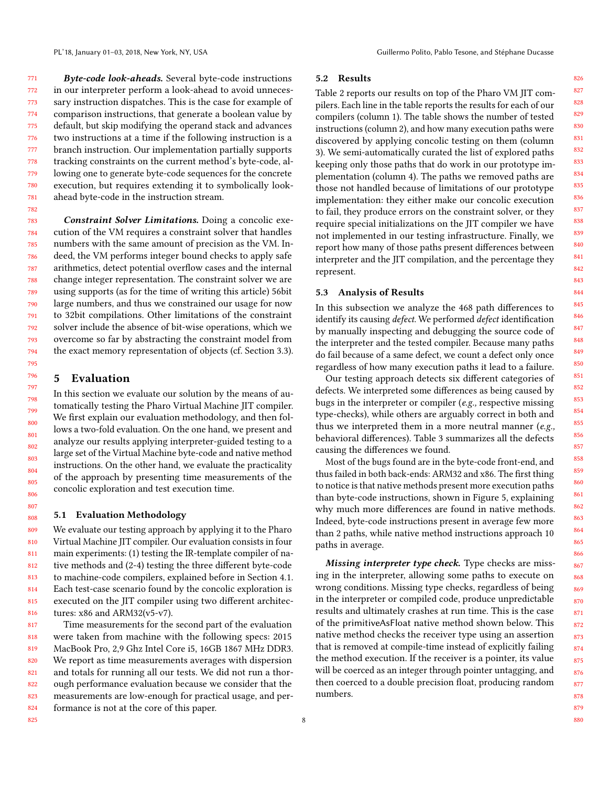771 772 773 774 775 776 777 778 779 780 781 Byte-code look-aheads. Several byte-code instructions in our interpreter perform a look-ahead to avoid unnecessary instruction dispatches. This is the case for example of comparison instructions, that generate a boolean value by default, but skip modifying the operand stack and advances two instructions at a time if the following instruction is a branch instruction. Our implementation partially supports tracking constraints on the current method's byte-code, allowing one to generate byte-code sequences for the concrete execution, but requires extending it to symbolically lookahead byte-code in the instruction stream.

783 784 785 786 787 788 789 790 791 792 793 794 Constraint Solver Limitations. Doing a concolic execution of the VM requires a constraint solver that handles numbers with the same amount of precision as the VM. Indeed, the VM performs integer bound checks to apply safe arithmetics, detect potential overflow cases and the internal change integer representation. The constraint solver we are using supports (as for the time of writing this article) 56bit large numbers, and thus we constrained our usage for now to 32bit compilations. Other limitations of the constraint solver include the absence of bit-wise operations, which we overcome so far by abstracting the constraint model from the exact memory representation of objects (cf. Section 3.3).

## 5 Evaluation

782

In this section we evaluate our solution by the means of automatically testing the Pharo Virtual Machine JIT compiler. We first explain our evaluation methodology, and then follows a two-fold evaluation. On the one hand, we present and analyze our results applying interpreter-guided testing to a large set of the Virtual Machine byte-code and native method instructions. On the other hand, we evaluate the practicality of the approach by presenting time measurements of the concolic exploration and test execution time.

#### 5.1 Evaluation Methodology

809 810 811 812 813 814 815 816 We evaluate our testing approach by applying it to the Pharo Virtual Machine JIT compiler. Our evaluation consists in four main experiments: (1) testing the IR-template compiler of native methods and (2-4) testing the three different byte-code to machine-code compilers, explained before in Section 4.1. Each test-case scenario found by the concolic exploration is executed on the JIT compiler using two different architectures: x86 and ARM32(v5-v7).

817 818 819 820 821 822 823 824 Time measurements for the second part of the evaluation were taken from machine with the following specs: 2015 MacBook Pro, 2,9 Ghz Intel Core i5, 16GB 1867 MHz DDR3. We report as time measurements averages with dispersion and totals for running all our tests. We did not run a thorough performance evaluation because we consider that the measurements are low-enough for practical usage, and performance is not at the core of this paper.

#### 5.2 Results

Table 2 reports our results on top of the Pharo VM JIT compilers. Each line in the table reports the results for each of our compilers (column 1). The table shows the number of tested instructions (column 2), and how many execution paths were discovered by applying concolic testing on them (column 3). We semi-automatically curated the list of explored paths keeping only those paths that do work in our prototype implementation (column 4). The paths we removed paths are those not handled because of limitations of our prototype implementation: they either make our concolic execution to fail, they produce errors on the constraint solver, or they require special initializations on the JIT compiler we have not implemented in our testing infrastructure. Finally, we report how many of those paths present differences between interpreter and the JIT compilation, and the percentage they represent.

#### 5.3 Analysis of Results

In this subsection we analyze the 468 path differences to identify its causing *defect*. We performed *defect* identification by manually inspecting and debugging the source code of the interpreter and the tested compiler. Because many paths do fail because of a same defect, we count a defect only once regardless of how many execution paths it lead to a failure.

Our testing approach detects six different categories of defects. We interpreted some differences as being caused by bugs in the interpreter or compiler (e.g., respective missing type-checks), while others are arguably correct in both and thus we interpreted them in a more neutral manner (e.g., behavioral differences). Table 3 summarizes all the defects causing the differences we found.

Most of the bugs found are in the byte-code front-end, and thus failed in both back-ends: ARM32 and x86. The first thing to notice is that native methods present more execution paths than byte-code instructions, shown in Figure 5, explaining why much more differences are found in native methods. Indeed, byte-code instructions present in average few more than 2 paths, while native method instructions approach 10 paths in average.

Missing interpreter type check. Type checks are missing in the interpreter, allowing some paths to execute on wrong conditions. Missing type checks, regardless of being in the interpreter or compiled code, produce unpredictable results and ultimately crashes at run time. This is the case of the primitiveAsFloat native method shown below. This native method checks the receiver type using an assertion that is removed at compile-time instead of explicitly failing the method execution. If the receiver is a pointer, its value will be coerced as an integer through pointer untagging, and then coerced to a double precision float, producing random numbers.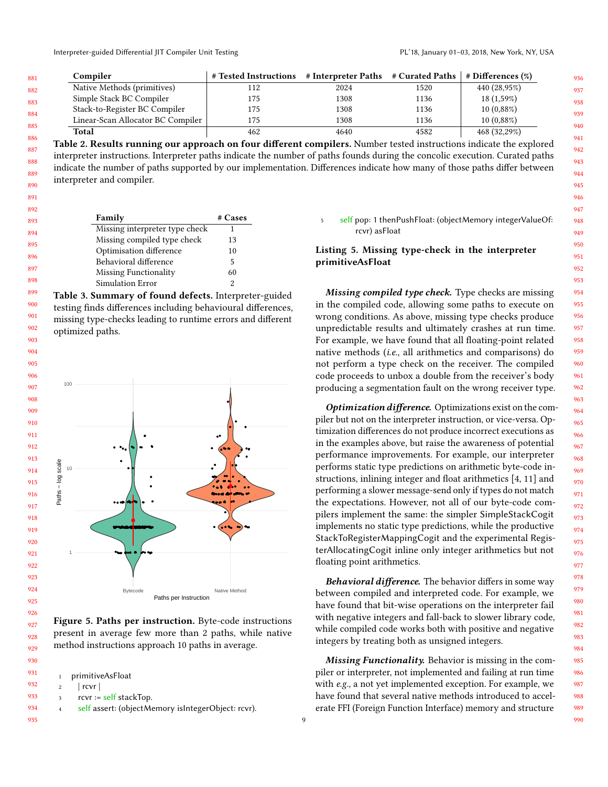| # Tested Instructions # Interpreter Paths # Curated Paths   # Differences $(\%)$ |
|----------------------------------------------------------------------------------|
| 440 (28,95%)                                                                     |
| $18(1,59\%)$                                                                     |
| $10(0,88\%)$                                                                     |
| $10(0,88\%)$                                                                     |
| 468 (32,29%)                                                                     |
|                                                                                  |

Table 2. Results running our approach on four different compilers. Number tested instructions indicate the explored interpreter instructions. Interpreter paths indicate the number of paths founds during the concolic execution. Curated paths indicate the number of paths supported by our implementation. Differences indicate how many of those paths differ between interpreter and compiler.

| 892 |                                |         |
|-----|--------------------------------|---------|
| 893 | <b>Family</b>                  | # Cases |
| 894 | Missing interpreter type check |         |
| 895 | Missing compiled type check    | 13      |
|     | Optimisation difference        | 10      |
| 896 | Behavioral difference          | 5       |
| 897 | Missing Functionality          | 60      |
| 898 | Simulation Error               |         |

Table 3. Summary of found defects. Interpreter-guided testing finds differences including behavioural differences, missing type-checks leading to runtime errors and different optimized paths.



Figure 5. Paths per instruction. Byte-code instructions present in average few more than 2 paths, while native method instructions approach 10 paths in average.

|   | 1 primitiveAsFloat                                  |
|---|-----------------------------------------------------|
| 2 | rcvr                                                |
| 3 | $rcvr := self stackTop.$                            |
| 4 | self assert: (objectMemory is IntegerObject: rcvr). |
|   |                                                     |

 self pop: 1 thenPushFloat: (objectMemory integerValueOf: rcvr) asFloat

Listing 5. Missing type-check in the interpreter primitiveAsFloat

Missing compiled type check. Type checks are missing in the compiled code, allowing some paths to execute on wrong conditions. As above, missing type checks produce unpredictable results and ultimately crashes at run time. For example, we have found that all floating-point related native methods (i.e., all arithmetics and comparisons) do not perform a type check on the receiver. The compiled code proceeds to unbox a double from the receiver's body producing a segmentation fault on the wrong receiver type.

Optimization difference. Optimizations exist on the compiler but not on the interpreter instruction, or vice-versa. Optimization differences do not produce incorrect executions as in the examples above, but raise the awareness of potential performance improvements. For example, our interpreter performs static type predictions on arithmetic byte-code instructions, inlining integer and float arithmetics [4, 11] and performing a slower message-send only if types do not match the expectations. However, not all of our byte-code compilers implement the same: the simpler SimpleStackCogit implements no static type predictions, while the productive StackToRegisterMappingCogit and the experimental RegisterAllocatingCogit inline only integer arithmetics but not floating point arithmetics.

**Behavioral difference.** The behavior differs in some way between compiled and interpreted code. For example, we have found that bit-wise operations on the interpreter fail with negative integers and fall-back to slower library code, while compiled code works both with positive and negative integers by treating both as unsigned integers.

Missing Functionality. Behavior is missing in the compiler or interpreter, not implemented and failing at run time with e.g., a not yet implemented exception. For example, we have found that several native methods introduced to accelerate FFI (Foreign Function Interface) memory and structure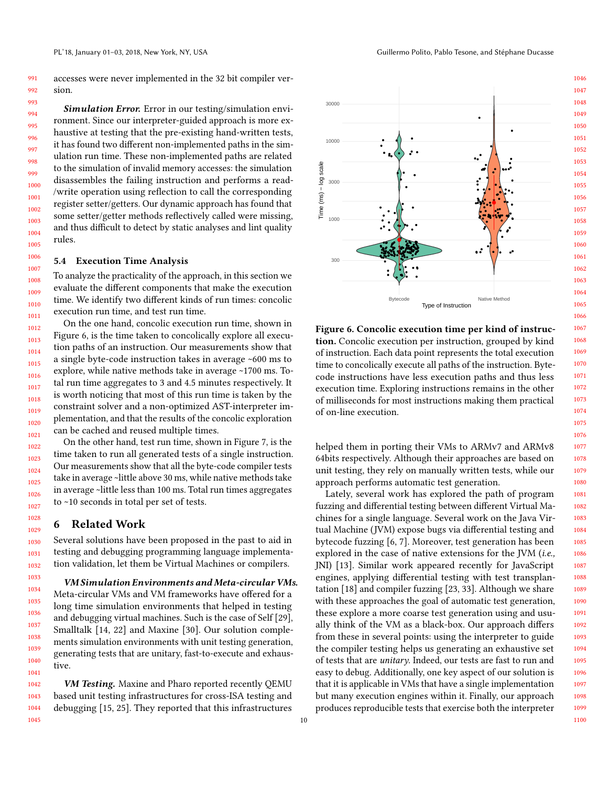991 992 accesses were never implemented in the 32 bit compiler version.

1000 1001 1002 Simulation Error. Error in our testing/simulation environment. Since our interpreter-guided approach is more exhaustive at testing that the pre-existing hand-written tests, it has found two different non-implemented paths in the simulation run time. These non-implemented paths are related to the simulation of invalid memory accesses: the simulation disassembles the failing instruction and performs a read- /write operation using reflection to call the corresponding register setter/getters. Our dynamic approach has found that some setter/getter methods reflectively called were missing, and thus difficult to detect by static analyses and lint quality rules.

#### 5.4 Execution Time Analysis

To analyze the practicality of the approach, in this section we evaluate the different components that make the execution time. We identify two different kinds of run times: concolic execution run time, and test run time.

On the one hand, concolic execution run time, shown in Figure 6, is the time taken to concolically explore all execution paths of an instruction. Our measurements show that a single byte-code instruction takes in average ~600 ms to explore, while native methods take in average ~1700 ms. Total run time aggregates to 3 and 4.5 minutes respectively. It is worth noticing that most of this run time is taken by the constraint solver and a non-optimized AST-interpreter implementation, and that the results of the concolic exploration can be cached and reused multiple times.

On the other hand, test run time, shown in Figure 7, is the time taken to run all generated tests of a single instruction. Our measurements show that all the byte-code compiler tests take in average ~little above 30 ms, while native methods take in average ~little less than 100 ms. Total run times aggregates to ~10 seconds in total per set of tests.

#### 6 Related Work

Several solutions have been proposed in the past to aid in testing and debugging programming language implementation validation, let them be Virtual Machines or compilers.

VM Simulation Environments and Meta-circular VMs. Meta-circular VMs and VM frameworks have offered for a long time simulation environments that helped in testing and debugging virtual machines. Such is the case of Self [29], Smalltalk [14, 22] and Maxine [30]. Our solution complements simulation environments with unit testing generation, generating tests that are unitary, fast-to-execute and exhaustive.

1042 1043 1044 1045 VM Testing. Maxine and Pharo reported recently QEMU based unit testing infrastructures for cross-ISA testing and debugging [15, 25]. They reported that this infrastructures

10





Figure 6. Concolic execution time per kind of instruction. Concolic execution per instruction, grouped by kind of instruction. Each data point represents the total execution time to concolically execute all paths of the instruction. Bytecode instructions have less execution paths and thus less execution time. Exploring instructions remains in the other of milliseconds for most instructions making them practical of on-line execution.

helped them in porting their VMs to ARMv7 and ARMv8 64bits respectively. Although their approaches are based on unit testing, they rely on manually written tests, while our approach performs automatic test generation.

Lately, several work has explored the path of program fuzzing and differential testing between different Virtual Machines for a single language. Several work on the Java Virtual Machine (JVM) expose bugs via differential testing and bytecode fuzzing [6, 7]. Moreover, test generation has been explored in the case of native extensions for the JVM (i.e., JNI) [13]. Similar work appeared recently for JavaScript engines, applying differential testing with test transplantation [18] and compiler fuzzing [23, 33]. Although we share with these approaches the goal of automatic test generation, these explore a more coarse test generation using and usually think of the VM as a black-box. Our approach differs from these in several points: using the interpreter to guide the compiler testing helps us generating an exhaustive set of tests that are unitary. Indeed, our tests are fast to run and easy to debug. Additionally, one key aspect of our solution is that it is applicable in VMs that have a single implementation but many execution engines within it. Finally, our approach produces reproducible tests that exercise both the interpreter

1098 1099

1100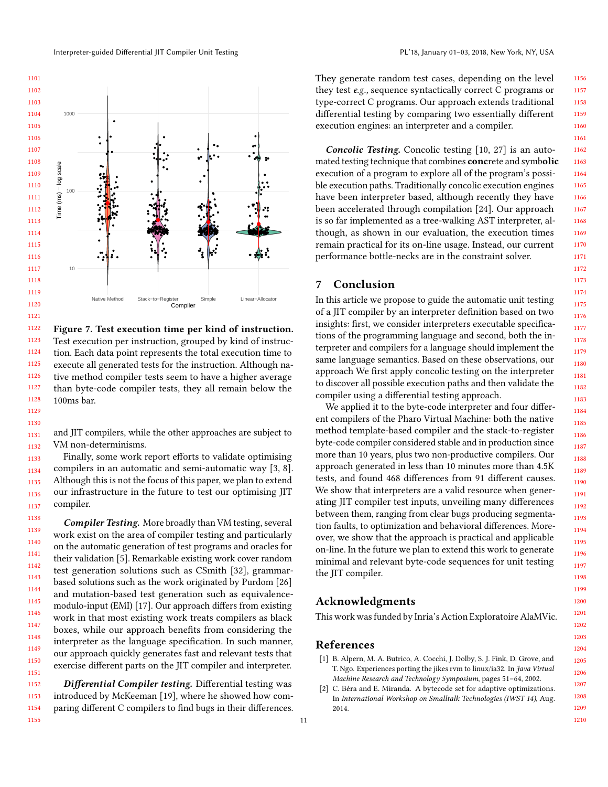

1122 1123 1124 1125 1126 1127 1128 Figure 7. Test execution time per kind of instruction. Test execution per instruction, grouped by kind of instruction. Each data point represents the total execution time to execute all generated tests for the instruction. Although native method compiler tests seem to have a higher average than byte-code compiler tests, they all remain below the 100ms bar.

1131 1132 and JIT compilers, while the other approaches are subject to VM non-determinisms.

1129 1130

1133 1134 1135 1136 1137 Finally, some work report efforts to validate optimising compilers in an automatic and semi-automatic way [3, 8]. Although this is not the focus of this paper, we plan to extend our infrastructure in the future to test our optimising JIT compiler.

1138 1139 1140 1141 1142 1143 1144 1145 1146 1147 1148 1149 1150 1151 Compiler Testing. More broadly than VM testing, several work exist on the area of compiler testing and particularly on the automatic generation of test programs and oracles for their validation [5]. Remarkable existing work cover random test generation solutions such as CSmith [32], grammarbased solutions such as the work originated by Purdom [26] and mutation-based test generation such as equivalencemodulo-input (EMI) [17]. Our approach differs from existing work in that most existing work treats compilers as black boxes, while our approach benefits from considering the interpreter as the language specification. In such manner, our approach quickly generates fast and relevant tests that exercise different parts on the JIT compiler and interpreter.

1152 1153 1154 1155 Differential Compiler testing. Differential testing was introduced by McKeeman [19], where he showed how comparing different C compilers to find bugs in their differences.

They generate random test cases, depending on the level they test e.g., sequence syntactically correct C programs or type-correct C programs. Our approach extends traditional differential testing by comparing two essentially different execution engines: an interpreter and a compiler.

Concolic Testing. Concolic testing [10, 27] is an automated testing technique that combines **conc**rete and symbolic execution of a program to explore all of the program's possible execution paths. Traditionally concolic execution engines have been interpreter based, although recently they have been accelerated through compilation [24]. Our approach is so far implemented as a tree-walking AST interpreter, although, as shown in our evaluation, the execution times remain practical for its on-line usage. Instead, our current performance bottle-necks are in the constraint solver.

# 7 Conclusion

In this article we propose to guide the automatic unit testing of a JIT compiler by an interpreter definition based on two insights: first, we consider interpreters executable specifications of the programming language and second, both the interpreter and compilers for a language should implement the same language semantics. Based on these observations, our approach We first apply concolic testing on the interpreter to discover all possible execution paths and then validate the compiler using a differential testing approach.

We applied it to the byte-code interpreter and four different compilers of the Pharo Virtual Machine: both the native method template-based compiler and the stack-to-register byte-code compiler considered stable and in production since more than 10 years, plus two non-productive compilers. Our approach generated in less than 10 minutes more than 4.5K tests, and found 468 differences from 91 different causes. We show that interpreters are a valid resource when generating JIT compiler test inputs, unveiling many differences between them, ranging from clear bugs producing segmentation faults, to optimization and behavioral differences. Moreover, we show that the approach is practical and applicable on-line. In the future we plan to extend this work to generate minimal and relevant byte-code sequences for unit testing the JIT compiler.

# Acknowledgments

This work was funded by Inria's Action Exploratoire AlaMVic.

### References

- [1] B. Alpern, M. A. Butrico, A. Cocchi, J. Dolby, S. J. Fink, D. Grove, and T. Ngo. Experiences porting the jikes rvm to linux/ia32. In Java Virtual Machine Research and Technology Symposium, pages 51–64, 2002.
- [2] C. Béra and E. Miranda. A bytecode set for adaptive optimizations. In International Workshop on Smalltalk Technologies (IWST 14), Aug. 2014.